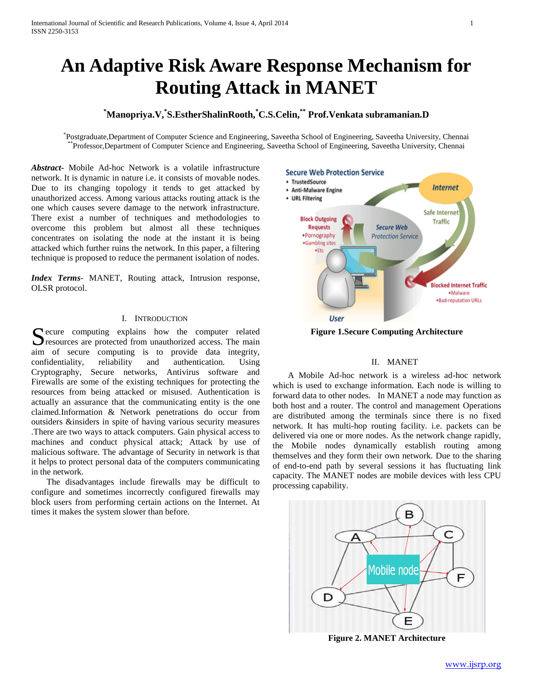# **An Adaptive Risk Aware Response Mechanism for Routing Attack in MANET**

## **\*Manopriya.V,\* S.EstherShalinRooth,\*C.S.Celin,\*\* Prof.Venkata subramanian.D**

\* Postgraduate,Department of Computer Science and Engineering, Saveetha School of Engineering, Saveetha University, Chennai \*\*Professor,Department of Computer Science and Engineering, Saveetha School of Engineering, Saveetha University, Chennai

*Abstract***-** Mobile Ad-hoc Network is a volatile infrastructure network. It is dynamic in nature i.e. it consists of movable nodes. Due to its changing topology it tends to get attacked by unauthorized access. Among various attacks routing attack is the one which causes severe damage to the network infrastructure. There exist a number of techniques and methodologies to overcome this problem but almost all these techniques concentrates on isolating the node at the instant it is being attacked which further ruins the network. In this paper, a filtering technique is proposed to reduce the permanent isolation of nodes.

*Index Terms*- MANET, Routing attack, Intrusion response, OLSR protocol.

#### I. INTRODUCTION

 $\Gamma$  ecure computing explains how the computer related Secure computing explains how the computer related resources are protected from unauthorized access. The main aim of secure computing is to provide data integrity, confidentiality, reliability and authentication. Using Cryptography, Secure networks, Antivirus software and Firewalls are some of the existing techniques for protecting the resources from being attacked or misused. Authentication is actually an assurance that the communicating entity is the one claimed.Information & Network penetrations do occur from outsiders &insiders in spite of having various security measures .There are two ways to attack computers. Gain physical access to machines and conduct physical attack; Attack by use of malicious software. The advantage of Security in network is that it helps to protect personal data of the computers communicating in the network.

 The disadvantages include firewalls may be difficult to configure and sometimes incorrectly configured firewalls may block users from performing certain actions on the Internet. At times it makes the system slower than before.



**Figure 1.Secure Computing Architecture**

## II. MANET

 A Mobile Ad-hoc network is a wireless ad-hoc network which is used to exchange information. Each node is willing to forward data to other nodes. In MANET a node may function as both host and a router. The control and management Operations are distributed among the terminals since there is no fixed network. It has multi-hop routing facility. i.e. packets can be delivered via one or more nodes. As the network change rapidly, the Mobile nodes dynamically establish routing among themselves and they form their own network. Due to the sharing of end-to-end path by several sessions it has fluctuating link capacity. The MANET nodes are mobile devices with less CPU processing capability.



**Figure 2. MANET Architecture**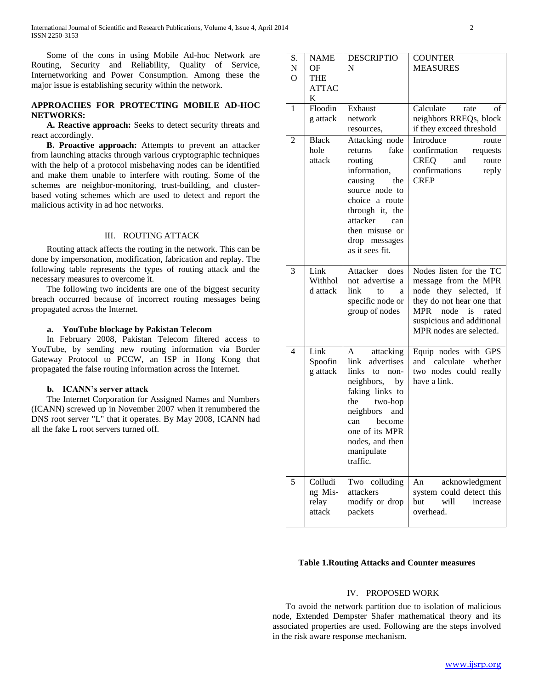Some of the cons in using Mobile Ad-hoc Network are Routing, Security and Reliability, Quality of Service, Internetworking and Power Consumption. Among these the major issue is establishing security within the network.

## **APPROACHES FOR PROTECTING MOBILE AD-HOC NETWORKS:**

 **A. Reactive approach:** Seeks to detect security threats and react accordingly.

 **B. Proactive approach:** Attempts to prevent an attacker from launching attacks through various cryptographic techniques with the help of a protocol misbehaving nodes can be identified and make them unable to interfere with routing. Some of the schemes are neighbor-monitoring, trust-building, and clusterbased voting schemes which are used to detect and report the malicious activity in ad hoc networks.

#### III. ROUTING ATTACK

 Routing attack affects the routing in the network. This can be done by impersonation, modification, fabrication and replay. The following table represents the types of routing attack and the necessary measures to overcome it.

 The following two incidents are one of the biggest security breach occurred because of incorrect routing messages being propagated across the Internet.

### **a. YouTube blockage by Pakistan Telecom**

 In February 2008, Pakistan Telecom filtered access to YouTube, by sending new routing information via Border Gateway Protocol to PCCW, an ISP in Hong Kong that propagated the false routing information across the Internet.

### **b. ICANN's server attack**

 The Internet Corporation for Assigned Names and Numbers (ICANN) screwed up in November 2007 when it renumbered the DNS root server "L" that it operates. By May 2008, ICANN had all the fake L root servers turned off.

| S. | <b>NAME</b>  | <b>DESCRIPTIO</b>               | <b>COUNTER</b>              |
|----|--------------|---------------------------------|-----------------------------|
| N  | OF           | N                               | <b>MEASURES</b>             |
| Ω  | <b>THE</b>   |                                 |                             |
|    | <b>ATTAC</b> |                                 |                             |
|    | K            |                                 |                             |
| 1  | Floodin      | Exhaust                         | Calculate<br>rate<br>οf     |
|    | g attack     | network                         | neighbors RREQs, block      |
|    |              | resources,                      | if they exceed threshold    |
| 2  | <b>Black</b> | Attacking node                  | Introduce<br>route          |
|    | hole         | fake<br>returns                 | confirmation<br>requests    |
|    | attack       | routing                         | <b>CREQ</b><br>and<br>route |
|    |              | information,                    | confirmations<br>reply      |
|    |              | causing<br>the                  | <b>CREP</b>                 |
|    |              | source node to                  |                             |
|    |              | choice a route                  |                             |
|    |              | through it, the                 |                             |
|    |              | attacker<br>can                 |                             |
|    |              | then misuse or                  |                             |
|    |              | drop messages                   |                             |
|    |              | as it sees fit.                 |                             |
| 3  | Link         | Attacker<br>does                | Nodes listen for the TC     |
|    | Withhol      | not advertise a                 | message from the MPR        |
|    | d attack     | link<br>to<br>a                 | node they selected, if      |
|    |              | specific node or                | they do not hear one that   |
|    |              | group of nodes                  | MPR<br>node<br>is<br>rated  |
|    |              |                                 | suspicious and additional   |
|    |              |                                 | MPR nodes are selected.     |
|    |              |                                 |                             |
| 4  | Link         | attacking<br>A                  | Equip nodes with GPS        |
|    | Spoofin      | advertises<br>link              | and calculate whether       |
|    | g attack     | links to non-                   | two nodes could really      |
|    |              | neighbors, by                   | have a link.                |
|    |              | faking links to                 |                             |
|    |              | two-hop<br>the                  |                             |
|    |              | neighbors<br>and                |                             |
|    |              | become<br>can<br>one of its MPR |                             |
|    |              |                                 |                             |
|    |              | nodes, and then<br>manipulate   |                             |
|    |              | traffic.                        |                             |
|    |              |                                 |                             |
| 5  | Colludi      | Two colluding                   | An<br>acknowledgment        |
|    | ng Mis-      | attackers                       | system could detect this    |
|    | relay        | modify or drop                  | but<br>will<br>increase     |
|    | attack       | packets                         | overhead.                   |
|    |              |                                 |                             |

#### **Table 1.Routing Attacks and Counter measures**

#### IV. PROPOSED WORK

 To avoid the network partition due to isolation of malicious node, Extended Dempster Shafer mathematical theory and its associated properties are used. Following are the steps involved in the risk aware response mechanism.